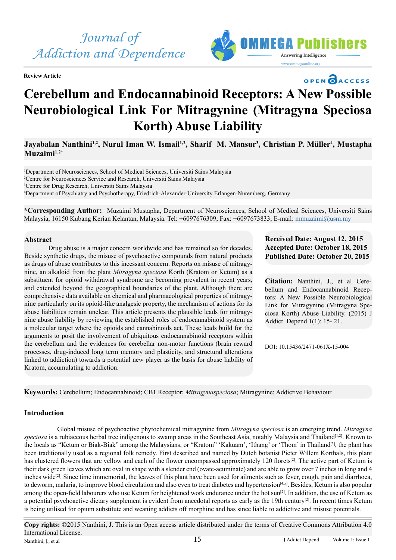

**Review Article**



# OPEN CACCESS

# **Cerebellum and Endocannabinoid Receptors: A New Possible Neurobiological Link For Mitragynine (Mitragyna Speciosa Korth) Abuse Liability**

Jayabalan Nanthini<sup>1,2</sup>, Nurul Iman W. Ismail<sup>1,2</sup>, Sharif M. Mansur<sup>3</sup>, Christian P. Müller<sup>4</sup>, Mustapha **Muzaimi1,2\***

<sup>1</sup>Department of Neurosciences, School of Medical Sciences, Universiti Sains Malaysia Centre for Neurosciences Service and Research, Universiti Sains Malaysia Centre for Drug Research, Universiti Sains Malaysia Department of Psychiatry and Psychotherapy, Friedrich-Alexander-University Erlangen-Nuremberg, Germany

**\*Corresponding Author:** Muzaimi Mustapha, Department of Neurosciences, School of Medical Sciences, Universiti Sains Malaysia, 16150 Kubang Kerian Kelantan, Malaysia. Tel: +6097676309; Fax: +6097673833; E-mail: [mmuzaimi@usm.my](mailto:mmuzaimi@usm.my)

#### **Abstract**

Drug abuse is a major concern worldwide and has remained so for decades. Beside synthetic drugs, the misuse of psychoactive compounds from natural products as drugs of abuse contributes to this incessant concern. Reports on misuse of mitragynine, an alkaloid from the plant *Mitragyna speciosa* Korth (Kratom or Ketum) as a substituent for opioid withdrawal syndrome are becoming prevalent in recent years, and extended beyond the geographical boundaries of the plant. Although there are comprehensive data available on chemical and pharmacological properties of mitragynine particularly on its opioid-like analgesic property, the mechanism of actions for its abuse liabilities remain unclear. This article presents the plausible leads for mitragynine abuse liability by reviewing the established roles of endocannabinoid system as a molecular target where the opioids and cannabinoids act. These leads build for the arguments to posit the involvement of ubiquitous endocannabinoid receptors within the cerebellum and the evidences for cerebellar non-motor functions (brain reward processes, drug-induced long term memory and plasticity, and structural alterations linked to addiction) towards a potential new player as the basis for abuse liability of Kratom, accumulating to addiction.

# **Received Date: August 12, 2015 Accepted Date: October 18, 2015 Published Date: October 20, 2015**

**Citation:** Nanthini, J., et al Cerebellum and Endocannabinoid Receptors: A New Possible Neurobiological Link for Mitragynine (Mitragyna Speciosa Korth) Abuse Liability. (2015) J Addict Depend 1(1): 15- 21.

DOI: [10.15436/2471-061X-15-00](http://www.dx.doi.org/10.15436/2477-061X.15.004)4

**Keywords:** Cerebellum; Endocannabinoid; CB1 Receptor; *Mitragynaspeciosa*; Mitragynine; Addictive Behaviour

## **Introduction**

 Global misuse of psychoactive phytochemical mitragynine from *Mitragyna speciosa* is an emerging trend. *Mitragyna*  speciosa is a rubiaceous herbal tree indigenous to swamp areas in the Southeast Asia, notably Malaysia and Thailand<sup>[1,2]</sup>. Known to the locals as "Ketum or Biak-Biak" among the Malaysians, or "Kratom" 'Kakuam', 'Ithang' or 'Thom' in Thailand<sup>[3]</sup>, the plant has been traditionally used as a regional folk remedy. First described and named by Dutch botanist Pieter Willem Korthals, this plant has clustered flowers that are yellow and each of the flower encompassed approximately 120 florets<sup>[2]</sup>. The active part of Ketum is their dark green leaves which are oval in shape with a slender end (ovate-acuminate) and are able to grow over 7 inches in long and 4 inches wide<sup>[\[2\]](#page-4-2)</sup>. Since time immemorial, the leaves of this plant have been used for ailments such as fever, cough, pain and diarrhoea, to deworm, malaria, to improve blood circulation and also even to treat diabetes and hypertension<sup>[4,5]</sup>. Besides, Ketum is also popular among the open-field labourers who use Ketum for heightened work endurance under the hot sun<sup>[\[2\]](#page-4-2)</sup>. In addition, the use of Ketum as a potential psychoactive dietary supplement is evident from anecdotal reports as early as the 19th century<sup>[2]</sup>. In recent times Ketum is being utilised for opium substitute and weaning addicts off morphine and has since liable to addictive and misuse potentials.

**Copy rights:** ©2015 Nanthini, J. This is an Open access article distributed under the terms of Creative Commons Attribution 4.0 International License. Nanthini, J., et al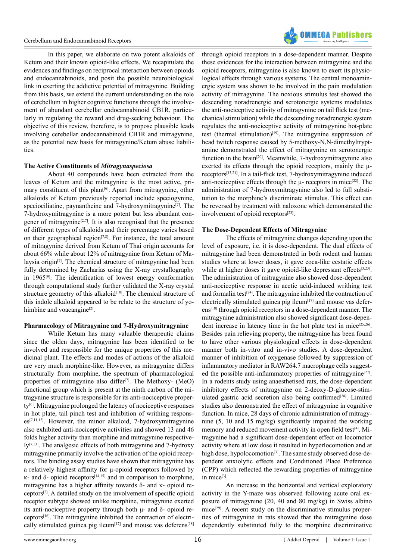

In this paper, we elaborate on two potent alkaloids of Ketum and their known opioid-like effects. We recapitulate the evidences and findings on reciprocal interaction between opioids and endocannabinoids, and posit the possible neurobiological link in exerting the addictive potential of mitragynine. Building from this basis, we extend the current understanding on the role of cerebellum in higher cognitive functions through the involvement of abundant cerebellar endocannabinoid CB1R, particularly in regulating the reward and drug-seeking behaviour. The objective of this review, therefore, is to propose plausible leads involving cerebellar endocannabinoid CB1R and mitragynine, as the potential new basis for mitragynine/Ketum abuse liabilities.

#### **The Active Constituents of** *Mitragynaspeciosa*

About 40 compounds have been extracted from the leaves of Ketum and the mitragynine is the most active, primary constituent of this plant<sup>[6]</sup>. Apart from mitragynine, other alkaloids of Ketum previously reported include speciogynine, speciociliatine, paynantheine and 7-hydroxymitragynine<sup>[7]</sup>. The 7-hydroxymitragynine is a more potent but less abundant congener of mitragynine<sup>[2,7]</sup>. It is also recognised that the presence of different types of alkaloids and their percentage varies based on their geographical region $[7,8]$ . For instance, the total amount of mitragynine derived from Ketum of Thai origin accounts for about 66% while about 12% of mitragynine from Ketum of Malaysia origin $[7]$ . The chemical structure of mitragynine had been fully determined by Zacharias using the X-ray crystallography in 1965[\[9\]](#page-4-6). The identification of lowest energy conformation through computational study further validated the X-ray crystal structure geometry of this alkaloid<sup>[10]</sup>. The chemical structure of this indole alkaloid appeared to be relate to the structure of yohimbine and voacangine<sup>[2]</sup>.

#### **Pharmacology of Mitragynine and 7-Hydroxymitragynine**

While Ketum has many valuable therapeutic claims since the olden days, mitragynine has been identified to be involved and responsible for the unique properties of this medicinal plant. The effects and modes of actions of the alkaloid are very much morphine-like. However, as mitragynine differs structurally from morphine, the spectrum of pharmacological properties of mitragynine also differ<sup>[\[7\]](#page-4-5)</sup>. The Methoxy- (MeO) functional group which is present at the ninth carbon of the mitragynine structure is responsible for its anti-nociceptive property[\[6\].](#page-4-4) Mitragynine prolonged the latency of nociceptive responses in hot plate, tail pinch test and inhibition of writhing responses<sup>[7,11,12]</sup>. However, the minor alkaloid, 7-hydroxymitragynine also exhibited anti-nociceptive activities and showed 13 and 46 folds higher activity than morphine and mitragynine respectively<sup>[7,13]</sup>. The analgesic effects of both mitragynine and 7-hydroxy mitragynine primarily involve the activation of the opioid receptors. The binding assay studies have shown that mitragynine has a relatively highest affinity for μ-opioid receptors followed by κ- and δ- opioid receptors[\[14,15\]](#page-4-8) and in comparison to morphine, mitragynine has a higher affinity towards δ- and κ- opioid receptors[\[2\]](#page-4-2). A detailed study on the involvement of specific opioid receptor subtype showed unlike morphine, mitragynine exerted its anti-nociceptive property through both μ- and δ- opioid receptors[\[16\].](#page-4-9) The mitragynine inhibited the contraction of electri-cally stimulated guinea pig ileum<sup>[17]</sup> and mouse vas deferens<sup>[\[18\]](#page-5-1)</sup>

through opioid receptors in a dose-dependent manner. Despite these evidences for the interaction between mitragynine and the opioid receptors, mitragynine is also known to exert its physiological effects through various systems. The central monoaminergic system was shown to be involved in the pain modulation activity of mitragynine. The noxious stimulus test showed the descending noradrenergic and serotonergic systems modulates the anti-nociceptive activity of mitragynine on tail flick test (mechanical stimulation) while the descending noradrenergic system regulates the anti-nociceptive activity of mitragynine hot-plate test (thermal stimulation) $[19]$ . The mitragynine suppression of head twitch response caused by 5-methoxy-N,N-dimethyltryptamine demonstrated the effect of mitragynine on serotonergic function in the brai[n\[20\]](#page-5-3). Meanwhile, 7-hydroxymitragynine also exerted its effects through the opioid receptors, mainly the μreceptor[s\[13,21\]](#page-4-10). In a tail-flick test, 7-hydroxymitragynine induced anti-nociceptive effects through the  $\mu$ - receptors in mice<sup>[22]</sup>. The administration of 7-hydroxymitragynine also led to full substitution to the morphine's discriminate stimulus. This effect can be reversed by treatment with naloxone which demonstrated the involvement of opioid receptors<sup>[\[23\]](#page-5-5)</sup>.

#### **The Dose-Dependent Effects of Mitragynine**

The effects of mitragynine changes depending upon the level of exposure, i.e. it is dose-dependent. The dual effects of mitragynine had been demonstrated in both rodent and human studies where at lower doses, it gave coca-like ecstatic effects while at higher doses it gave opioid-like depressant effects<sup>[3,23]</sup>. The administration of mitragynine also showed dose-dependent anti-nociceptive response in acetic acid-induced writhing test and formal in test<sup>[24]</sup>. The mitragynine inhibited the contraction of electrically stimulated guinea pig ileum $[17]$  and mouse vas deferens[\[18\]](#page-5-1) through opioid receptors in a dose-dependent manner. The mitragynine administration also showed significant dose-dependent increase in latency time in the hot plate test in mice<sup>[25,26]</sup>. Besides pain relieving property, the mitragynine has been found to have other various physiological effects in dose-dependent manner both in-vitro and in-vivo studies. A dose-dependent manner of inhibition of oxygenase followed by suppression of inflammatory mediator in RAW264.7 macrophage cells suggested the possible anti-inflammatory properties of mitragynine<sup>[27]</sup>. In a rodents study using anaesthetised rats, the dose-dependent inhibitory effects of mitragynine on 2-deoxy-D-glucose-stimulated gastric acid secretion also being confirmed<sup>[28]</sup>. Limited studies also demonstrated the effect of mitragynine in cognitive function. In mice, 28 days of chronic administration of mitragynine (5, 10 and 15 mg/kg) significantly impaired the working memory and reduced movement activity in open field test<sup>[\[4\]](#page-4-3)</sup>. Mitragynine had a significant dose-dependent effect on locomotor activity where at low dose it resulted in hyperlocomotion and at high dose, hypolocomotion<sup>[3]</sup>. The same study observed dose-dependent anxiolytic effects and Conditioned Place Preference (CPP) which reflected the rewarding properties of mitragynine in mice<sup>[3]</sup>.

An increase in the horizontal and vertical exploratory activity in the Y-maze was observed following acute oral exposure of mitragynine (20, 40 and 80 mg/kg) in Swiss albino  $mice^{[29]}$ . A recent study on the discriminative stimulus properties of mitragynine in rats showed that the mitragynine dose dependently substituted fully to the morphine discriminative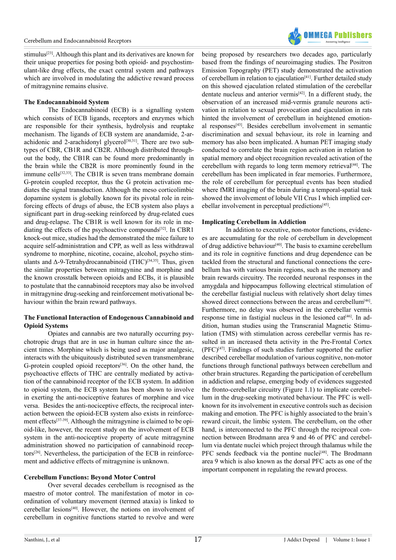stimulus<sup>[23]</sup>. Although this plant and its derivatives are known for their unique properties for posing both opioid- and psychostimulant-like drug effects, the exact central system and pathways which are involved in modulating the addictive reward process of mitragynine remains elusive.

#### **The Endocannabinoid System**

The Endocannabinoid (ECB) is a signalling system which consists of ECB ligands, receptors and enzymes which are responsible for their synthesis, hydrolysis and reuptake mechanism. The ligands of ECB system are anandamide, 2-arachidonic and 2-arachidonyl glycerol<sup>[30,31]</sup>. There are two subtypes of CBR, CB1R and CB2R. Although distributed throughout the body, the CB1R can be found more predominantly in the brain while the CB2R is more prominently found in the immune cells $[32,33]$ . The CB1R is seven trans membrane domain G-protein coupled receptor, thus the G protein activation mediates the signal transduction. Although the meso corticolimbic dopamine system is globally known for its pivotal role in reinforcing effects of drugs of abuse, the ECB system also plays a significant part in drug-seeking reinforced by drug-related cues and drug-relapse. The CB1R is well known for its role in mediating the effects of the psychoactive compounds<sup>[32]</sup>. In CBR1 knock-out mice, studies had the demonstrated the mice failure to acquire self-administration and CPP, as well as less withdrawal syndrome to morphine, nicotine, cocaine, alcohol, psycho stimulants and  $\Delta$ -9-Tetrahydrocannabinoid (THC)<sup>[\[34,35\]](#page-5-13)</sup>. Thus, given the similar properties between mitragynine and morphine and the known crosstalk between opioids and ECBs, it is plausible to postulate that the cannabinoid receptors may also be involved in mitragynine drug-seeking and reinforcement motivational behaviour within the brain reward pathways.

### **The Functional Interaction of Endogenous Cannabinoid and Opioid Systems**

Opiates and cannabis are two naturally occurring psychotropic drugs that are in use in human culture since the ancient times. Morphine which is being used as major analgesic, interacts with the ubiquitously distributed seven transmembrane G-protein coupled opioid receptors<sup>[\[36\]](#page-5-14)</sup>. On the other hand, the psychoactive effects of THC are centrally mediated by activation of the cannabinoid receptor of the ECB system. In addition to opioid system, the ECB system has been shown to involve in exerting the anti-nociceptive features of morphine and vice versa. Besides the anti-nociceptive effects, the reciprocal interaction between the opioid-ECB system also exists in reinforce-ment effects<sup>[\[37-39\]](#page-5-15)</sup>. Although the mitragynine is claimed to be opioid-like, however, the recent study on the involvement of ECB system in the anti-nociceptive property of acute mitragynine administration showed no participation of cannabinoid receptor[s\[26\].](#page-5-16) Nevertheless, the participation of the ECB in reinforcement and addictive effects of mitragynine is unknown.

#### **Cerebellum Functions: Beyond Motor Control**

Over several decades cerebellum is recognised as the maestro of motor control. The manifestation of motor in coordination of voluntary movement (termed ataxia) is linked to cerebellar lesion[s\[40\].](#page-5-17) However, the notions on involvement of cerebellum in cognitive functions started to revolve and were

being proposed by researchers two decades ago, particularly based from the findings of neuroimaging studies. The Positron Emission Topography (PET) study demonstrated the activation of cerebellum in relation to ejaculation<sup>[\[41\]](#page-5-18)</sup>. Further detailed study on this showed ejaculation related stimulation of the cerebellar dentate nucleus and anterior vermis<sup>[42]</sup>. In a different study, the observation of an increased mid-vermis granule neurons activation in relation to sexual provocation and ejaculation in rats hinted the involvement of cerebellum in heightened emotional response[s\[43\]](#page-5-20). Besides cerebellum involvement in semantic discrimination and sexual behaviour, its role in learning and memory has also been implicated. A human PET imaging study conducted to correlate the brain region activation in relation to spatial memory and object recognition revealed activation of the cerebellum with regards to long term memory retrieval<sup>[44]</sup>. The cerebellum has been implicated in fear memories. Furthermore, the role of cerebellum for perceptual events has been studied where fMRI imaging of the brain during a temporal-spatial task showed the involvement of lobule VII Crus I which implied cer-ebellar involvement in perceptual predictions<sup>[\[45\]](#page-5-22)</sup>.

#### **Implicating Cerebellum in Addiction**

In addition to executive, non-motor functions, evidences are accumulating for the role of cerebellum in development of drug addictive behaviour<sup>[40]</sup>. The basis to examine cerebellum and its role in cognitive functions and drug dependence can be tackled from the structural and functional connections the cerebellum has with various brain regions, such as the memory and brain rewards circuitry. The recorded neuronal responses in the amygdala and hippocampus following electrical stimulation of the cerebellar fastigial nucleus with relatively short delay times showed direct connections between the areas and cerebellum<sup>[46]</sup>. Furthermore, no delay was observed in the cerebellar vermis response time in fastigial nucleus in the lesioned cat<sup>[46]</sup>. In addition, human studies using the Transcranial Magnetic Stimulation (TMS) with stimulation across cerebellar vermis has resulted in an increased theta activity in the Pre-Frontal Cortex (PFC[\)\[47\].](#page-5-24) Findings of such studies further supported the earlier described cerebellar modulation of various cognitive, non-motor functions through functional pathways between cerebellum and other brain structures. Regarding the participation of cerebellum in addiction and relapse, emerging body of evidences suggested the fronto-cerebellar circuitry (Figure 1.1) to implicate cerebellum in the drug-seeking motivated behaviour. The PFC is wellknown for its involvement in executive controls such as decision making and emotion. The PFC is highly associated to the brain's reward circuit, the limbic system. The cerebellum, on the other hand, is interconnected to the PFC through the reciprocal connection between Brodmann area 9 and 46 of PFC and cerebellum via dentate nuclei which project through thalamus while the PFC sends feedback via the pontine nuclei<sup>[\[48\]](#page-5-25)</sup>. The Brodmann area 9 which is also known as the dorsal PFC acts as one of the important component in regulating the reward process.

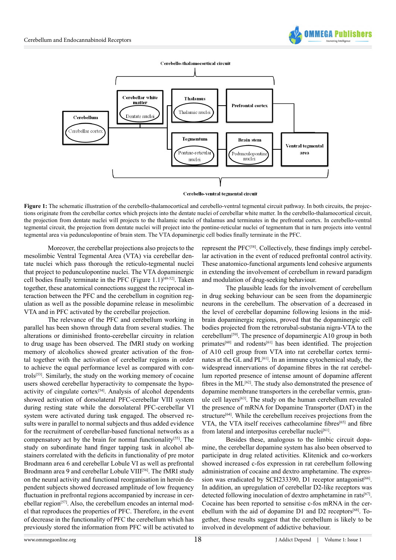



**Figure 1:** The schematic illustration of the cerebello-thalamocortical and cerebello-ventral tegmental circuit pathway. In both circuits, the projections originate from the cerebellar cortex which projects into the dentate nuclei of cerebellar white matter. In the cerebello-thalamocortical circuit, the projection from dentate nuclei will projects to the thalamic nuclei of thalamus and terminates in the prefrontal cortex. In cerebello-ventral tegmental circuit, the projection from dentate nuclei will project into the pontine-reticular nuclei of tegmentum that in turn projects into ventral tegmental area via pedunculopontine of brain stem. The VTA dopaminergic cell bodies finally terminate in the PFC.

Moreover, the cerebellar projections also projects to the mesolimbic Ventral Tegmental Area (VTA) via cerebellar dentate nuclei which pass thorough the reticulo-tegmental nuclei that project to pedunculopontine nuclei. The VTA dopaminergic cell bodies finally terminate in the PFC (Figure  $1.1$ )<sup>[\[49-52\]](#page-5-26)</sup>. Taken together, these anatomical connections suggest the reciprocal interaction between the PFC and the cerebellum in cognition regulation as well as the possible dopamine release in mesolimbic VTA and in PFC activated by the cerebellar projection.

The relevance of the PFC and cerebellum working in parallel has been shown through data from several studies. The alterations or diminished fronto-cerebellar circuitry in relation to drug usage has been observed. The fMRI study on working memory of alcoholics showed greater activation of the frontal together with the activation of cerebellar regions in order to achieve the equal performance level as compared with controls[\[53\]](#page-5-27). Similarly, the study on the working memory of cocaine users showed cerebellar hyperactivity to compensate the hypoactivity of cingulate cortex $[54]$ . Analysis of alcohol dependents showed activation of dorsolateral PFC-cerebellar VIII system during resting state while the dorsolateral PFC-cerebellar VI system were activated during task engaged. The observed results were in parallel to normal subjects and thus added evidence for the recruitment of cerebellar-based functional networks as a compensatory act by the brain for normal functionality<sup>[\[55\]](#page-5-29)</sup>. The study on subordinate hand finger tapping task in alcohol abstainers correlated with the deficits in functionality of pre motor Brodmann area 6 and cerebellar Lobule VI as well as prefrontal Brodmann area 9 and cerebellar Lobule VIII<sup>[56]</sup>. The fMRI study on the neural activity and functional reorganisation in heroin dependent subjects showed decreased amplitude of low frequency fluctuation in prefrontal regions accompanied by increase in cerebellar region<sup>[57]</sup>. Also, the cerebellum encodes an internal model that reproduces the properties of PFC. Therefore, in the event of decrease in the functionality of PFC the cerebellum which has previously stored the information from PFC will be activated to

represent the PF[C\[58\]](#page-6-0). Collectively, these findings imply cerebellar activation in the event of reduced prefrontal control activity. These anatomico-functional arguments lend cohesive arguments in extending the involvement of cerebellum in reward paradigm and modulation of drug-seeking behaviour.

**OMMEGA Publis** 

The plausible leads for the involvement of cerebellum in drug seeking behaviour can be seen from the dopaminergic neurons in the cerebellum. The observation of a decreased in the level of cerebellar dopamine following lesions in the midbrain dopaminergic regions, proved that the dopaminergic cell bodies projected from the retrorubal-substania nigra-VTA to the cerebellu[m\[59\].](#page-6-1) The presence of dopaminergic A10 group in both primates<sup>[60]</sup> and rodents<sup>[61]</sup> has been identified. The projection of A10 cell group from VTA into rat cerebellar cortex terminates at the GL and PL[\[61\].](#page-6-3) In an immune cytochemical study, the widespread innervations of dopamine fibres in the rat cerebellum reported presence of intense amount of dopamine afferent fibres in the  $ML^{[62]}$ . The study also demonstrated the presence of dopamine membrane transporters in the cerebellar vermis, granule cell layer[s\[63\]](#page-6-5). The study on the human cerebellum revealed the presence of mRNA for Dopamine Transporter (DAT) in the structure<sup>[\[64\]](#page-6-6)</sup>. While the cerebellum receives projections from the VTA, the VTA itself receives cathecolamine fibres<sup>[\[65\]](#page-6-7)</sup> and fibre from lateral and interpositus cerebellar nuclei<sup>[\[61\]](#page-6-3)</sup>.

Besides these, analogous to the limbic circuit dopamine, the cerebellar dopamine system has also been observed to participate in drug related activities. Klitenick and co-workers showed increased c-fos expression in rat cerebellum following administration of cocaine and dextro amphetamine. The expression was eradicated by SCH233390, D1 receptor antagonist<sup>[66]</sup>. In addition, an upregulation of cerebellar D2-like receptors was detected following inoculation of dextro amphetamine in rats<sup>[67]</sup>. Cocaine has been reported to sensitise c-fos mRNA in the cerebellum with the aid of dopamine D1 and D2 receptors<sup>[68]</sup>. Together, these results suggest that the cerebellum is likely to be involved in development of addictive behaviour.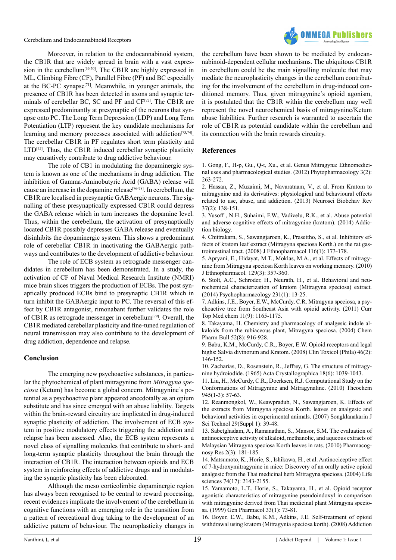

Moreover, in relation to the endocannabinoid system, the CB1R that are widely spread in brain with a vast expression in the cerebellum<sup>[69,70]</sup>. The CB1R are highly expressed in ML, Climbing Fibre (CF), Parallel Fibre (PF) and BC especially at the BC-PC synaps[e\[71\].](#page-6-12) Meanwhile, in younger animals, the presence of CB1R has been detected in axons and synaptic terminals of cerebellar BC, SC and PF and CF[\[72\].](#page-6-13) The CB1R are expressed predominantly at presynaptic of the neurons that synapse onto PC. The Long Term Depression (LDP) and Long Term Potentiation (LTP) represent the key candidate mechanisms for learning and memory processes associated with addiction<sup>[73,74]</sup>. The cerebellar CB1R in PF regulates short term plasticity and LTD<sup>[\[75\]](#page-6-15)</sup>. Thus, the CB1R induced cerebellar synaptic plasticity may causatively contribute to drug addictive behaviour.

The role of CB1 in modulating the dopaminergic system is known as one of the mechanisms in drug addiction. The inhibition of Gamma-Aminobutyric Acid (GABA) release will cause an increase in the dopamine release<sup>[\[76-78\]](#page-6-16)</sup>. In cerebellum, the CB1R are localised in presynaptic GABAergic neurons. The signalling of these presynaptically expressed CB1R could depress the GABA release which in turn increases the dopamine level. Thus, within the cerebellum, the activation of presynaptically located CB1R possibly depresses GABA release and eventually disinhibits the dopaminergic system. This shows a predominant role of cerebellar CB1R in inactivating the GABAergic pathways and contributes to the development of addictive behaviour.

The role of ECB system as retrograde messenger candidates in cerebellum has been demonstrated. In a study, the activation of CF of Naval Medical Research Institute (NMRI) mice brain slices triggers the production of ECBs. The post synaptically produced ECBs bind to presynaptic CB1R which in turn inhibit the GABAergic input to PC. The reversal of this effect by CB1R antagonist, rimonabant further validates the role of CB1R as retrograde messenger in cerebellum<sup>[79]</sup>. Overall, the CB1R mediated cerebellar plasticity and fine-tuned regulation of neural transmission may also contribute to the development of drug addiction, dependence and relapse.

#### **Conclusion**

The emerging new psychoactive substances, in particular the phytochemical of plant mitragynine from *Mitragyna speciosa* (Ketum) has become a global concern. Mitragynine's potential as a psychoactive plant appeared anecdotally as an opium substitute and has since emerged with an abuse liability. Targets within the brain-reward circuitry are implicated in drug-induced synaptic plasticity of addiction. The involvement of ECB system in positive modulatory effects triggering the addiction and relapse has been assessed. Also, the ECB system represents a novel class of signalling molecules that contribute to short- and long-term synaptic plasticity throughout the brain through the interaction of CB1R. The interaction between opioids and ECB system in reinforcing effects of addictive drugs and in modulating the synaptic plasticity has been elaborated.

Although the meso corticolimbic dopaminergic region has always been recognised to be central to reward processing, recent evidences implicate the involvement of the cerebellum in cognitive functions with an emerging role in the transition from a pattern of recreational drug taking to the development of an addictive pattern of behaviour. The neuroplasticity changes in

the cerebellum have been shown to be mediated by endocannabinoid-dependent cellular mechanisms. The ubiquitous CB1R in cerebellum could be the main signalling molecule that may mediate the neuroplasticity changes in the cerebellum contributing for the involvement of the cerebellum in drug-induced conditioned memory. Thus, given mitragynine's opioid agonism, it is postulated that the CB1R within the cerebellum may well represent the novel neurochemical basis of mitragynine/Ketum abuse liabilities. Further research is warranted to ascertain the role of CB1R as potential candidate within the cerebellum and its connection with the brain rewards circuitry.

### **References**

<span id="page-4-0"></span>[1. Gong, F., H-p, Gu., Q-t, Xu., et al. Genus Mitragyna: Ethnomedici](http://inforesights.com/phytopharmacology/files/pp3v2i4.pdf)[nal uses and pharmacological studies. \(2012\) Phytopharmacology 3\(2\):](http://inforesights.com/phytopharmacology/files/pp3v2i4.pdf) [263-272.](http://inforesights.com/phytopharmacology/files/pp3v2i4.pdf)

<span id="page-4-2"></span>[2. Hassan, Z., Muzaimi, M., Navaratnam, V., et al. From Kratom to](http://www.ncbi.nlm.nih.gov/pubmed/23206666) [mitragynine and its derivatives: physiological and behavioural effects](http://www.ncbi.nlm.nih.gov/pubmed/23206666) [related to use, abuse, and addiction. \(2013\) Neurosci Biobehav Rev](http://www.ncbi.nlm.nih.gov/pubmed/23206666) [37\(2\): 138-151.](http://www.ncbi.nlm.nih.gov/pubmed/23206666)

<span id="page-4-1"></span>[3. Yusoff , N.H., Suhaimi, F.W., Vadivelu, R.K., et al. Abuse potential](http://www.ncbi.nlm.nih.gov/pubmed/25262913) [and adverse cognitive effects of mitragynine \(kratom\). \(2014\) Addic](http://www.ncbi.nlm.nih.gov/pubmed/25262913)[tion biology.](http://www.ncbi.nlm.nih.gov/pubmed/25262913)

<span id="page-4-3"></span>[4. Chittrakarn, S., Sawangjaroen, K., Prasettho, S., et al. Inhibitory ef](http://www.ncbi.nlm.nih.gov/pubmed/18191353)[fects of kratom leaf extract \(Mitragyna speciosa Korth.\) on the rat gas](http://www.ncbi.nlm.nih.gov/pubmed/18191353)[trointestinal tract. \(2008\) J Ethnopharmacol 116\(1\): 173-178.](http://www.ncbi.nlm.nih.gov/pubmed/18191353) 

[5. Apryani, E., Hidayat, M.T., Moklas, M.A., et al. Effects of mitragy](http://www.ncbi.nlm.nih.gov/pubmed/20371280)[nine from Mitragyna speciosa Korth leaves on working memory. \(2010\)](http://www.ncbi.nlm.nih.gov/pubmed/20371280) [J Ethnopharmacol. 129\(3\): 357-360.](http://www.ncbi.nlm.nih.gov/pubmed/20371280)

<span id="page-4-4"></span>[6. Stolt, A.C., Schroder, H., Neurath, H., et al. Behavioral and neu](http://www.ncbi.nlm.nih.gov/pubmed/23846544)[rochemical characterization of kratom \(Mitragyna speciosa\) extract.](http://www.ncbi.nlm.nih.gov/pubmed/23846544) [\(2014\) Psychopharmacology 231\(1\): 13-25.](http://www.ncbi.nlm.nih.gov/pubmed/23846544) 

<span id="page-4-5"></span>[7. Adkins, J.E., Boyer, E.W., McCurdy, C.R. Mitragyna speciosa, a psy](http://www.ncbi.nlm.nih.gov/pubmed/21050173)[choactive tree from Southeast Asia with opioid activity. \(2011\) Curr](http://www.ncbi.nlm.nih.gov/pubmed/21050173) [Top Med chem 11\(9\): 1165-1175.](http://www.ncbi.nlm.nih.gov/pubmed/21050173)

[8. Takayama, H. Chemistry and pharmacology of analgesic indole al](http://www.ncbi.nlm.nih.gov/pubmed/15304982)[kaloids from the rubiaceous plant, Mitragyna speciosa. \(2004\) Chem](http://www.ncbi.nlm.nih.gov/pubmed/15304982) [Pharm Bull 52\(8\): 916-928.](http://www.ncbi.nlm.nih.gov/pubmed/15304982) 

<span id="page-4-6"></span>[9. Babu, K.M., McCurdy, C.R., Boyer, E.W. Opioid receptors and legal](http://www.ncbi.nlm.nih.gov/pubmed/18259963) [highs: Salvia divinorum and Kratom. \(2008\) Clin Toxicol \(Phila\) 46\(2\):](http://www.ncbi.nlm.nih.gov/pubmed/18259963) [146-152.](http://www.ncbi.nlm.nih.gov/pubmed/18259963) 

<span id="page-4-7"></span>[10. Zacharias, D., Rosenstein, R., Jeffrey, G. The structure of mitragy](http://scripts.iucr.org/cgi-bin/paper?a04695)[nine hydroiodide. \(1965\) Acta Crystallographica 18\(6\): 1039-1043.](http://scripts.iucr.org/cgi-bin/paper?a04695)

[11. Liu, H., McCurdy, C.R., Doerksen, R.J. Computational Study on the](http://www.ncbi.nlm.nih.gov/pubmed/21293786) [Conformations of Mitragynine and Mitragynaline. \(2010\) Theochem](http://www.ncbi.nlm.nih.gov/pubmed/21293786) [945\(1-3\): 57-63.](http://www.ncbi.nlm.nih.gov/pubmed/21293786)

[12. Reanmongkol, W., Keawpradub, N., Sawangjaroen, K. Effects of](http://www.researchgate.net/publication/26469428_Effects_of_the_extracts_from_Mitragyna_speciosa_Korth._leaves_on_analgesic_and_behavioral_activities_in_experimental_animals) [the extracts from Mitragyna speciosa Korth. leaves on analgesic and](http://www.researchgate.net/publication/26469428_Effects_of_the_extracts_from_Mitragyna_speciosa_Korth._leaves_on_analgesic_and_behavioral_activities_in_experimental_animals) [behavioral activities in experimental animals. \(2007\) Songklanakarin J](http://www.researchgate.net/publication/26469428_Effects_of_the_extracts_from_Mitragyna_speciosa_Korth._leaves_on_analgesic_and_behavioral_activities_in_experimental_animals) [Sci Technol 29\(Suppl 1\): 39-48.](http://www.researchgate.net/publication/26469428_Effects_of_the_extracts_from_Mitragyna_speciosa_Korth._leaves_on_analgesic_and_behavioral_activities_in_experimental_animals)

<span id="page-4-10"></span>[13. Sabetghadam, A., Ramanathan, S., Mansor, S.M. The evaluation of](http://www.ncbi.nlm.nih.gov/pubmed/21808563) [antinociceptive activity of alkaloid, methanolic, and aqueous extracts of](http://www.ncbi.nlm.nih.gov/pubmed/21808563) [Malaysian Mitragyna speciosa Korth leaves in rats. \(2010\) Pharmacog](http://www.ncbi.nlm.nih.gov/pubmed/21808563)[nosy Res 2\(3\): 181-185.](http://www.ncbi.nlm.nih.gov/pubmed/21808563)

<span id="page-4-8"></span>[14. Matsumoto, K., Horie, S., Ishikawa, H., et al. Antinociceptive effect](http://www.ncbi.nlm.nih.gov/pubmed/14969718) [of 7-hydroxymitragynine in mice: Discovery of an orally active opioid](http://www.ncbi.nlm.nih.gov/pubmed/14969718) [analgesic from the Thai medicinal herb Mitragyna speciosa. \(2004\) Life](http://www.ncbi.nlm.nih.gov/pubmed/14969718) [sciences 74\(17\): 2143-2155.](http://www.ncbi.nlm.nih.gov/pubmed/14969718) 

[15. Yamamoto, L.T., Horie, S., Takayama, H., et al. Opioid receptor](http://www.ncbi.nlm.nih.gov/pubmed/10428019) [agonistic characteristics of mitragynine pseudoindoxyl in comparison](http://www.ncbi.nlm.nih.gov/pubmed/10428019) [with mitragynine derived from Thai medicinal plant Mitragyna specio](http://www.ncbi.nlm.nih.gov/pubmed/10428019)[sa. \(1999\) Gen Pharmacol 33\(1\): 73-81.](http://www.ncbi.nlm.nih.gov/pubmed/10428019)

<span id="page-4-9"></span>[16. Boyer, E.W., Babu, K.M., Adkins, J.E. Self-treatment of opioid](http://www.ncbi.nlm.nih.gov/pubmed/18482427) [withdrawal using kratom \(Mitragynia speciosa korth\). \(2008\) Addiction](http://www.ncbi.nlm.nih.gov/pubmed/18482427)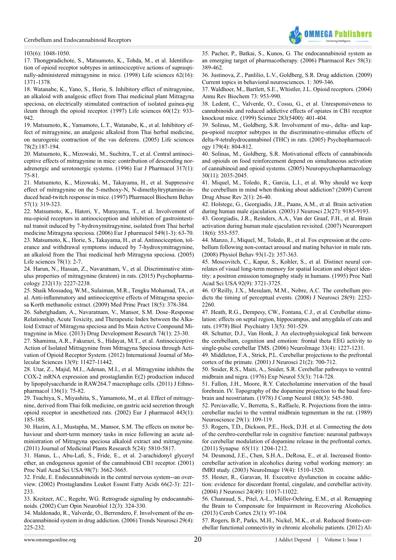

#### [103\(6\): 1048-1050.](http://www.ncbi.nlm.nih.gov/pubmed/18482427)

<span id="page-5-0"></span>[17. Thongpradichote, S., Matsumoto, K., Tohda, M., et al. Identifica](http://www.ncbi.nlm.nih.gov/pubmed/9585164)[tion of opioid receptor subtypes in antinociceptive actions of supraspi](http://www.ncbi.nlm.nih.gov/pubmed/9585164)[nally-administered mitragynine in mice. \(1998\) Life sciences 62\(16\):](http://www.ncbi.nlm.nih.gov/pubmed/9585164)  [1371-1378.](http://www.ncbi.nlm.nih.gov/pubmed/9585164) 

<span id="page-5-1"></span>[18. Watanabe, K., Yano, S., Horie, S. Inhibitory effect of mitragynine,](http://www.ncbi.nlm.nih.gov/pubmed/9061050)  [an alkaloid with analgesic effect from Thai medicinal plant Mitragyna](http://www.ncbi.nlm.nih.gov/pubmed/9061050)  [speciosa, on electrically stimulated contraction of isolated guinea-pig](http://www.ncbi.nlm.nih.gov/pubmed/9061050)  [ileum through the opioid receptor. \(1997\) Life sciences 60\(12\): 933-](http://www.ncbi.nlm.nih.gov/pubmed/9061050) [942.](http://www.ncbi.nlm.nih.gov/pubmed/9061050) 

<span id="page-5-2"></span>[19. Matsumoto, K., Yamamoto, L.T., Watanabe, K., et al. Inhibitory ef](http://www.ncbi.nlm.nih.gov/pubmed/16107269)[fect of mitragynine, an analgesic alkaloid from Thai herbal medicine,](http://www.ncbi.nlm.nih.gov/pubmed/16107269)  [on neurogenic contraction of the vas deferens. \(2005\) Life sciences](http://www.ncbi.nlm.nih.gov/pubmed/16107269)  [78\(2\):187-194.](http://www.ncbi.nlm.nih.gov/pubmed/16107269)

<span id="page-5-3"></span>[20. Matsumoto, K., Mizowaki, M., Suchitra, T., et al. Central antinoci](http://www.ncbi.nlm.nih.gov/pubmed/8982722)[ceptive effects of mitragynine in mice: contribution of descending nor](http://www.ncbi.nlm.nih.gov/pubmed/8982722)[adrenergic and serotonergic systems. \(1996\) Eur J Pharmacol 317\(1\):](http://www.ncbi.nlm.nih.gov/pubmed/8982722)  [75-81.](http://www.ncbi.nlm.nih.gov/pubmed/8982722)

[21. Matsumoto, K., Mizowaki, M., Takayama, H., et al. Suppressive](http://www.ncbi.nlm.nih.gov/pubmed/9164589)  [effect of mitragynine on the 5-methoxy-N, N-dimethyltryptamine-in](http://www.ncbi.nlm.nih.gov/pubmed/9164589)[duced head-twitch response in mice. \(1997\) Pharmacol Biochem Behav](http://www.ncbi.nlm.nih.gov/pubmed/9164589)  [57\(1\): 319-323.](http://www.ncbi.nlm.nih.gov/pubmed/9164589)

<span id="page-5-5"></span><span id="page-5-4"></span>[22. Matsumoto, K., Hatori, Y., Murayama, T., et al. Involvement of](http://www.ncbi.nlm.nih.gov/pubmed/16978601)  [mu-opioid receptors in antinociception and inhibition of gastrointesti](http://www.ncbi.nlm.nih.gov/pubmed/16978601)[nal transit induced by 7-hydroxymitragynine, isolated from Thai herbal](http://www.ncbi.nlm.nih.gov/pubmed/16978601)  [medicine Mitragyna speciosa. \(2006\) Eur J pharmacol 549\(1-3\): 63-70.](http://www.ncbi.nlm.nih.gov/pubmed/16978601)  [23. Matsumoto, K., Horie, S., Takayama, H., et al. Antinociception, tol](http://www.ncbi.nlm.nih.gov/pubmed/16169018)[erance and withdrawal symptoms induced by 7-hydroxymitragynine,](http://www.ncbi.nlm.nih.gov/pubmed/16169018)  [an alkaloid from the Thai medicinal herb Mitragyna speciosa. \(2005\)](http://www.ncbi.nlm.nih.gov/pubmed/16169018)  [Life sciences 78\(1\): 2-7.](http://www.ncbi.nlm.nih.gov/pubmed/16169018) 

<span id="page-5-6"></span>[24. Harun, N., Hassan, Z., Navaratnam, V., et al. Discriminative stim](http://www.ncbi.nlm.nih.gov/pubmed/25616583)[ulus properties of mitragynine \(kratom\) in rats. \(2015\) Psychopharma](http://www.ncbi.nlm.nih.gov/pubmed/25616583)[cology 232\(13\): 2227-2238.](http://www.ncbi.nlm.nih.gov/pubmed/25616583)

<span id="page-5-7"></span>[25. Shaik Mossadeq, W.M., Sulaiman, M.R., Tengku Mohamad, TA., et](http://www.ncbi.nlm.nih.gov/pubmed/19648761)  [al. Anti-inflammatory and antinociceptive effects of Mitragyna specio](http://www.ncbi.nlm.nih.gov/pubmed/19648761)[sa Korth methanolic extract. \(2009\) Med Princ Pract 18\(5\): 378-384.](http://www.ncbi.nlm.nih.gov/pubmed/19648761)

<span id="page-5-16"></span>[26. Sabetghadam, A., Navaratnam, V., Mansor, S.M. Dose–Response](http://onlinelibrary.wiley.com/doi/10.1002/ddr.21052/abstract)  [Relationship, Acute Toxicity, and Therapeutic Index between the Alka](http://onlinelibrary.wiley.com/doi/10.1002/ddr.21052/abstract)[loid Extract of Mitragyna speciosa and Its Main Active Compound Mi](http://onlinelibrary.wiley.com/doi/10.1002/ddr.21052/abstract)[tragynine in Mice. \(2013\) Drug Development Research 74\(1\): 23-30.](http://onlinelibrary.wiley.com/doi/10.1002/ddr.21052/abstract)

<span id="page-5-8"></span>[27. Shamima, A.R., Fakurazi, S., Hidayat, M.T., et al. Antinociceptive](http://www.mdpi.com/1422-0067/13/9/11427)  [Action of Isolated Mitragynine from Mitragyna Speciosa through Acti](http://www.mdpi.com/1422-0067/13/9/11427)[vation of Opioid Receptor System. \(2012\) International Journal of Mo](http://www.mdpi.com/1422-0067/13/9/11427)[lecular Sciences 13\(9\): 11427-11442.](http://www.mdpi.com/1422-0067/13/9/11427)

<span id="page-5-9"></span>[28. Utar, Z., Majid, M.I., Adenan, M.I., et al. Mitragynine inhibits the](http://www.ncbi.nlm.nih.gov/pubmed/21513785)  [COX-2 mRNA expression and prostaglandin E\(2\) production induced](http://www.ncbi.nlm.nih.gov/pubmed/21513785)  [by lipopolysaccharide in RAW264.7 macrophage cells. \(2011\) J Ethno](http://www.ncbi.nlm.nih.gov/pubmed/21513785)[pharmacol 136\(1\): 75-82.](http://www.ncbi.nlm.nih.gov/pubmed/21513785)

<span id="page-5-10"></span>[29. Tsuchiya, S., Miyashita, S., Yamamoto, M., et al. Effect of mitragy](http://www.ncbi.nlm.nih.gov/pubmed/12044808)[nine, derived from Thai folk medicine, on gastric acid secretion through](http://www.ncbi.nlm.nih.gov/pubmed/12044808)  [opioid receptor in anesthetized rats. \(2002\) Eur J pharmacol 443\(1\):](http://www.ncbi.nlm.nih.gov/pubmed/12044808)  [185-188.](http://www.ncbi.nlm.nih.gov/pubmed/12044808)

<span id="page-5-11"></span>[30. Hazim, A.I., Mustapha, M., Mansor, S.M. The effects on motor be](http://www.academicjournals.org/article/article1381415406_Hazim et al.pdf)[haviour and short-term memory tasks in mice following an acute ad](http://www.academicjournals.org/article/article1381415406_Hazim et al.pdf)[ministration of Mitragyna speciosa alkaloid extract and mitragynine.](http://www.academicjournals.org/article/article1381415406_Hazim et al.pdf)  [\(2011\) Journal of Medicinal Plants Research 5\(24\): 5810-5817.](http://www.academicjournals.org/article/article1381415406_Hazim et al.pdf)

[31. Hanus, L., Abu-Lafi, S., Fride, E., et al. 2-arachidonyl glyceryl](http://www.ncbi.nlm.nih.gov/pubmed/11259648)  [ether, an endogenous agonist of the cannabinoid CB1 receptor. \(2001\)](http://www.ncbi.nlm.nih.gov/pubmed/11259648)  [Proc Natl Acad Sci USA 98\(7\): 3662-3665.](http://www.ncbi.nlm.nih.gov/pubmed/11259648) 

<span id="page-5-12"></span>[32. Fride, E. Endocannabinoids in the central nervous system--an over](http://www.ncbi.nlm.nih.gov/pubmed/12052038)[view. \(2002\) Prostaglandins Leukot Essent Fatty Acids 66\(2-3\): 221-](http://www.ncbi.nlm.nih.gov/pubmed/12052038) [233.](http://www.ncbi.nlm.nih.gov/pubmed/12052038) 

[33. Kreitzer, AC., Regehr, WG. Retrograde signaling by endocannabi](http://www.ncbi.nlm.nih.gov/pubmed/12049940)[noids. \(2002\) Curr Opin Neurobiol 12\(3\): 324-330.](http://www.ncbi.nlm.nih.gov/pubmed/12049940)

<span id="page-5-13"></span>[34. Maldonado, R., Valverde, O., Berrendero, F. Involvement of the en](http://www.ncbi.nlm.nih.gov/pubmed/16483675)[docannabinoid system in drug addiction. \(2006\) Trends Neurosci 29\(4\):](http://www.ncbi.nlm.nih.gov/pubmed/16483675)  [225-232.](http://www.ncbi.nlm.nih.gov/pubmed/16483675)

[35. Pacher, P., Batkai, S., Kunos, G. The endocannabinoid system as](http://www.ncbi.nlm.nih.gov/pubmed/16968947) [an emerging target of pharmacotherapy. \(2006\) Pharmacol Rev 58\(3\):](http://www.ncbi.nlm.nih.gov/pubmed/16968947) [389-462.](http://www.ncbi.nlm.nih.gov/pubmed/16968947) 

<span id="page-5-14"></span>[36. Justinova, Z., Panlilio, L.V., Goldberg, S.R. Drug addiction. \(2009\)](http://www.ncbi.nlm.nih.gov/pmc/articles/PMC3039293/) [Current topics in behavioral neurosciences. 1: 309-346.](http://www.ncbi.nlm.nih.gov/pmc/articles/PMC3039293/)

<span id="page-5-15"></span>[37. Waldhoer, M., Bartlett, S.E., Whistler, J.L. Opioid receptors. \(2004\)](http://www.ncbi.nlm.nih.gov/pubmed/15189164) [Annu Rev Biochem 73: 953-990.](http://www.ncbi.nlm.nih.gov/pubmed/15189164)

[38. Ledent, C., Valverde, O., Cossu, G., et al. Unresponsiveness to](http://www.ncbi.nlm.nih.gov/pubmed/9888857) [cannabinoids and reduced addictive effects of opiates in CB1 receptor](http://www.ncbi.nlm.nih.gov/pubmed/9888857) [knockout mice. \(1999\) Science 283\(5400\): 401-404.](http://www.ncbi.nlm.nih.gov/pubmed/9888857)

[39. Solinas, M., Goldberg, S.R. Involvement of mu-, delta- and kap](http://www.ncbi.nlm.nih.gov/pubmed/15619107)[pa-opioid receptor subtypes in the discriminative-stimulus effects of](http://www.ncbi.nlm.nih.gov/pubmed/15619107) [delta-9-tetrahydrocannabinol \(THC\) in rats. \(2005\) Psychopharmacol](http://www.ncbi.nlm.nih.gov/pubmed/15619107)[ogy 179\(4\): 804-812.](http://www.ncbi.nlm.nih.gov/pubmed/15619107) 

<span id="page-5-17"></span>[40. Solinas, M., Goldberg, S.R. Motivational effects of cannabinoids](http://www.ncbi.nlm.nih.gov/pubmed/15812567) [and opioids on food reinforcement depend on simultaneous activation](http://www.ncbi.nlm.nih.gov/pubmed/15812567) [of cannabinoid and opioid systems. \(2005\) Neuropsychopharmacology](http://www.ncbi.nlm.nih.gov/pubmed/15812567) [30\(11\): 2035-2045.](http://www.ncbi.nlm.nih.gov/pubmed/15812567)

<span id="page-5-18"></span>[41. Miquel, M., Toledo, R., Garcia, L.I., et al. Why should we keep](http://www.ncbi.nlm.nih.gov/pubmed/19630735) [the cerebellum in mind when thinking about addiction? \(2009\) Current](http://www.ncbi.nlm.nih.gov/pubmed/19630735) [Drug Abuse Rev 2\(1\): 26-40.](http://www.ncbi.nlm.nih.gov/pubmed/19630735)

<span id="page-5-19"></span>[42. Holstege, G., Georgiadis, J.R., Paans, A.M., et al. Brain activation](http://www.jneurosci.org/content/23/27/9185.abstract) [during human male ejaculation. \(2003\) J Neurosci 23\(27\): 9185-9193.](http://www.jneurosci.org/content/23/27/9185.abstract)

<span id="page-5-20"></span>[43. Georgiadis, J.R., Reinders, A.A., Van der Graaf, F.H., et al. Brain](http://www.ncbi.nlm.nih.gov/pubmed/17413656) [activation during human male ejaculation revisited. \(2007\) Neuroreport](http://www.ncbi.nlm.nih.gov/pubmed/17413656) [18\(6\): 553-557.](http://www.ncbi.nlm.nih.gov/pubmed/17413656)

<span id="page-5-21"></span>[44. Manzo, J., Miquel, M., Toledo, R., et al. Fos expression at the cere](http://www.ncbi.nlm.nih.gov/pubmed/17936859)[bellum following non-contact arousal and mating behavior in male rats.](http://www.ncbi.nlm.nih.gov/pubmed/17936859) [\(2008\) Physiol Behav 93\(1-2\): 357-363.](http://www.ncbi.nlm.nih.gov/pubmed/17936859) 

<span id="page-5-22"></span>[45. Moscovitch, C., Kapur, S., Kohler, S., et al. Distinct neural cor](http://www.ncbi.nlm.nih.gov/pmc/articles/PMC42033/)[relates of visual long-term memory for spatial location and object iden](http://www.ncbi.nlm.nih.gov/pmc/articles/PMC42033/)[tity: a positron emission tomography study in humans. \(1995\) Proc Natl](http://www.ncbi.nlm.nih.gov/pmc/articles/PMC42033/) [Acad Sci USA 92\(9\): 3721-3725.](http://www.ncbi.nlm.nih.gov/pmc/articles/PMC42033/) 

<span id="page-5-23"></span>[46. O'Reilly, J.X., Mesulam, M.M., Nobre, A.C. The cerebellum pre](http://www.ncbi.nlm.nih.gov/pubmed/18305258)[dicts the timing of perceptual events. \(2008\) J Neurosci 28\(9\): 2252-](http://www.ncbi.nlm.nih.gov/pubmed/18305258) [2260.](http://www.ncbi.nlm.nih.gov/pubmed/18305258) 

<span id="page-5-24"></span>[47. Heath, R.G., Dempesy, CW., Fontana, C.J., et al. Cerebellar stimu](http://www.ncbi.nlm.nih.gov/pubmed/728506)[lation: effects on septal region, hippocampus, and amygdala of cats and](http://www.ncbi.nlm.nih.gov/pubmed/728506) [rats. \(1978\) Biol Psychiatry 13\(5\): 501-529.](http://www.ncbi.nlm.nih.gov/pubmed/728506) 

<span id="page-5-25"></span>[48. Schutter, D.J., Van Honk, J. An electrophysiological link between](http://www.ncbi.nlm.nih.gov/pubmed/17023183) [the cerebellum, cognition and emotion: frontal theta EEG activity to](http://www.ncbi.nlm.nih.gov/pubmed/17023183) [single-pulse cerebellar TMS. \(2006\) NeuroImage 33\(4\): 1227-1231.](http://www.ncbi.nlm.nih.gov/pubmed/17023183)

<span id="page-5-26"></span>[49. Middleton, F.A., Strick, P.L. Cerebellar projections to the prefrontal](http://www.jneurosci.org/content/21/2/700.abstract) [cortex of the primate. \(2001\) J Neurosci 21\(2\): 700-712.](http://www.jneurosci.org/content/21/2/700.abstract) 

[50. Snider, R.S., Maiti, A., Snider, S.R. Cerebellar pathways to ventral](http://www.ncbi.nlm.nih.gov/pubmed/1001395) [midbrain and nigra. \(1976\) Exp Neurol 53\(3\): 714-728.](http://www.ncbi.nlm.nih.gov/pubmed/1001395) 

[51. Fallon, J.H., Moore, R.Y. Catecholamine innervation of the basal](http://www.ncbi.nlm.nih.gov/pubmed/659674) [forebrain. IV. Topography of the dopamine projection to the basal fore](http://www.ncbi.nlm.nih.gov/pubmed/659674)[brain and neostriatum. \(1978\) J Comp Neurol 180\(3\): 545-580.](http://www.ncbi.nlm.nih.gov/pubmed/659674) 

[52. Perciavalle, V., Berretta, S., Raffaele, R. Projections from the intra](http://www.ncbi.nlm.nih.gov/pubmed/2469037)[cerebellar nuclei to the ventral midbrain tegmentum in the rat. \(1989\)](http://www.ncbi.nlm.nih.gov/pubmed/2469037) [Neuroscience 29\(1\): 109-119.](http://www.ncbi.nlm.nih.gov/pubmed/2469037) 

<span id="page-5-27"></span>[53. Rogers, T.D., Dickson, P.E., Heck, D.H. et al. Connecting the dots](http://www.ncbi.nlm.nih.gov/pubmed/21638338) [of the cerebro-cerebellar role in cognitive function: neuronal pathways](http://www.ncbi.nlm.nih.gov/pubmed/21638338) [for cerebellar modulation of dopamine release in the prefrontal cortex.](http://www.ncbi.nlm.nih.gov/pubmed/21638338) [\(2011\) Synapse 65\(11\): 1204-1212.](http://www.ncbi.nlm.nih.gov/pubmed/21638338) 

<span id="page-5-28"></span>[54. Desmond, J.E., Chen, S.H.A., DeRosa, E., et al. Increased fronto](http://www.ncbi.nlm.nih.gov/pubmed/12948707)[cerebellar activation in alcoholics during verbal working memory: an](http://www.ncbi.nlm.nih.gov/pubmed/12948707) [fMRI study. \(2003\) NeuroImage 19\(4\): 1510-1520.](http://www.ncbi.nlm.nih.gov/pubmed/12948707)

<span id="page-5-29"></span>[55. Hester, R., Garavan, H. Executive dysfunction in cocaine addic](http://www.ncbi.nlm.nih.gov/pubmed/15590917)[tion: evidence for discordant frontal, cingulate, and cerebellar activity.](http://www.ncbi.nlm.nih.gov/pubmed/15590917) [\(2004\) J Neurosci 24\(49\): 11017-11022.](http://www.ncbi.nlm.nih.gov/pubmed/15590917) 

<span id="page-5-30"></span>[56. Chanraud, S., Pitel, A-L., Müller-Oehring, E.M., et al. Remapping](http://www.ncbi.nlm.nih.gov/pubmed/22275479) [the Brain to Compensate for Impairment in Recovering Alcoholics.](http://www.ncbi.nlm.nih.gov/pubmed/22275479) [\(2013\) Cereb Cortex 23\(1\): 97-104.](http://www.ncbi.nlm.nih.gov/pubmed/22275479)

<span id="page-5-31"></span>[57. Rogers, B.P., Parks, M.H., Nickel, M.K., et al. Reduced fronto-cer](http://www.ncbi.nlm.nih.gov/pubmed/22085135)[ebellar functional connectivity in chronic alcoholic patients. \(2012\) Al-](http://www.ncbi.nlm.nih.gov/pubmed/22085135)